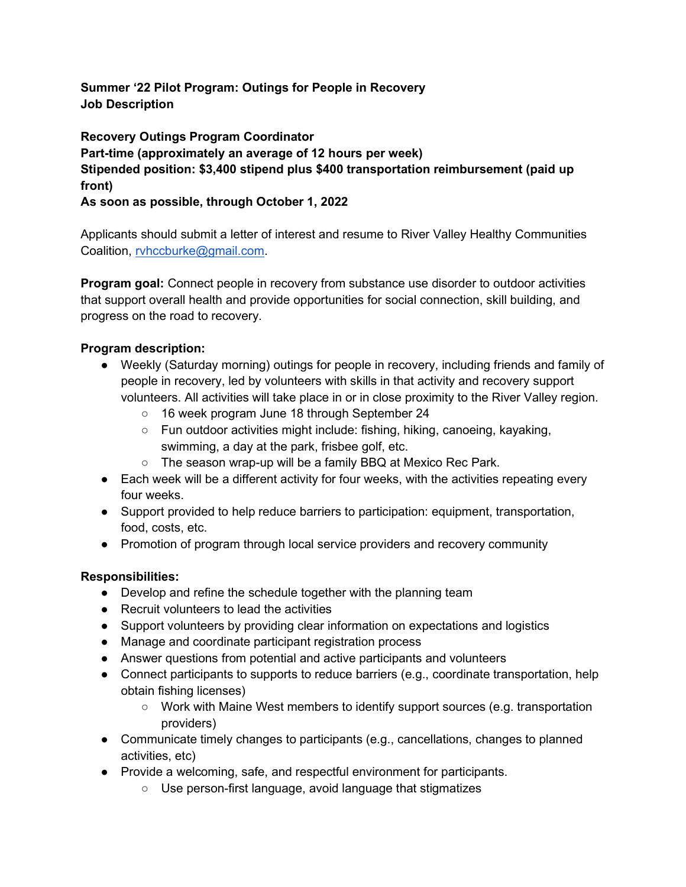Summer '22 Pilot Program: Outings for People in Recovery Job Description

Recovery Outings Program Coordinator Part-time (approximately an average of 12 hours per week) Stipended position: \$3,400 stipend plus \$400 transportation reimbursement (paid up front)

As soon as possible, through October 1, 2022

Applicants should submit a letter of interest and resume to River Valley Healthy Communities Coalition, rvhccburke@gmail.com.

**Program goal:** Connect people in recovery from substance use disorder to outdoor activities that support overall health and provide opportunities for social connection, skill building, and progress on the road to recovery.

## Program description:

- Weekly (Saturday morning) outings for people in recovery, including friends and family of people in recovery, led by volunteers with skills in that activity and recovery support volunteers. All activities will take place in or in close proximity to the River Valley region.
	- 16 week program June 18 through September 24
	- Fun outdoor activities might include: fishing, hiking, canoeing, kayaking, swimming, a day at the park, frisbee golf, etc.
	- The season wrap-up will be a family BBQ at Mexico Rec Park.
- Each week will be a different activity for four weeks, with the activities repeating every four weeks.
- Support provided to help reduce barriers to participation: equipment, transportation, food, costs, etc.
- Promotion of program through local service providers and recovery community

## Responsibilities:

- Develop and refine the schedule together with the planning team
- Recruit volunteers to lead the activities
- Support volunteers by providing clear information on expectations and logistics
- Manage and coordinate participant registration process
- Answer questions from potential and active participants and volunteers
- Connect participants to supports to reduce barriers (e.g., coordinate transportation, help obtain fishing licenses)
	- Work with Maine West members to identify support sources (e.g. transportation providers)
- Communicate timely changes to participants (e.g., cancellations, changes to planned activities, etc)
- Provide a welcoming, safe, and respectful environment for participants.
	- Use person-first language, avoid language that stigmatizes